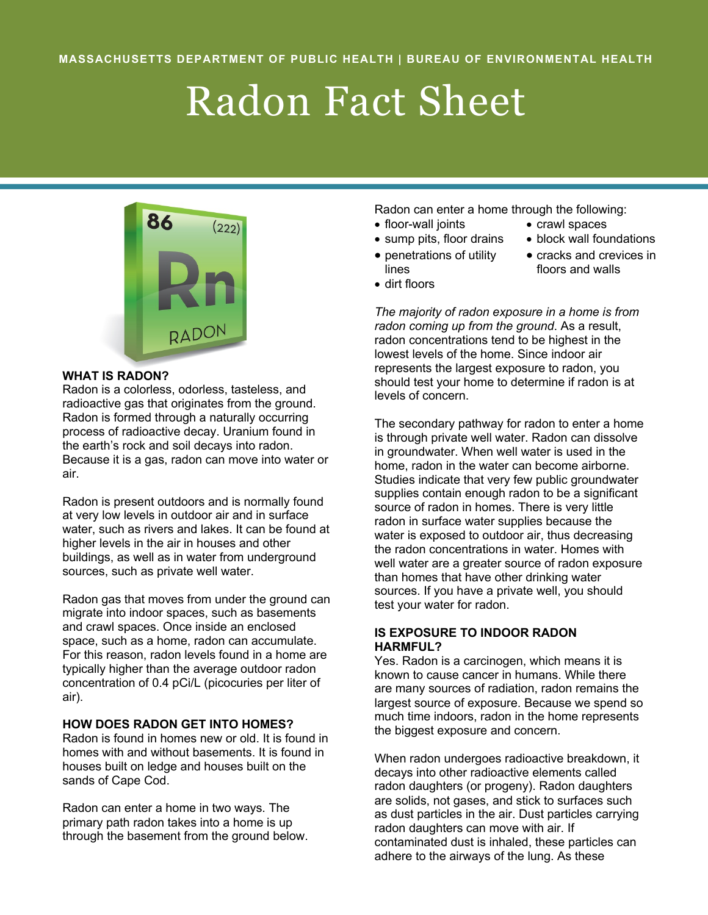# Radon Fact Sheet



#### **WHAT IS RADON?**

Radon is a colorless, odorless, tasteless, and radioactive gas that originates from the ground. Radon is formed through a naturally occurring process of radioactive decay. Uranium found in the earth's rock and soil decays into radon. Because it is a gas, radon can move into water or air.

Radon is present outdoors and is normally found at very low levels in outdoor air and in surface water, such as rivers and lakes. It can be found at higher levels in the air in houses and other buildings, as well as in water from underground sources, such as private well water.

Radon gas that moves from under the ground can migrate into indoor spaces, such as basements and crawl spaces. Once inside an enclosed space, such as a home, radon can accumulate. For this reason, radon levels found in a home are typically higher than the average outdoor radon concentration of 0.4 pCi/L (picocuries per liter of air).

## **HOW DOES RADON GET INTO HOMES?**

Radon is found in homes new or old. It is found in homes with and without basements. It is found in houses built on ledge and houses built on the sands of Cape Cod.

Radon can enter a home in two ways. The primary path radon takes into a home is up through the basement from the ground below. Radon can enter a home through the following:

- floor-wall joints crawl spaces
- sump pits, floor drains block wall foundations
- penetrations of utility lines
- cracks and crevices in floors and walls
- dirt floors

*The majority of radon exposure in a home is from radon coming up from the ground*. As a result, radon concentrations tend to be highest in the lowest levels of the home. Since indoor air represents the largest exposure to radon, you should test your home to determine if radon is at levels of concern.

The secondary pathway for radon to enter a home is through private well water. Radon can dissolve in groundwater. When well water is used in the home, radon in the water can become airborne. Studies indicate that very few public groundwater supplies contain enough radon to be a significant source of radon in homes. There is very little radon in surface water supplies because the water is exposed to outdoor air, thus decreasing the radon concentrations in water. Homes with well water are a greater source of radon exposure than homes that have other drinking water sources. If you have a private well, you should test your water for radon.

## **IS EXPOSURE TO INDOOR RADON HARMFUL?**

Yes. Radon is a carcinogen, which means it is known to cause cancer in humans. While there are many sources of radiation, radon remains the largest source of exposure. Because we spend so much time indoors, radon in the home represents the biggest exposure and concern.

When radon undergoes radioactive breakdown, it decays into other radioactive elements called radon daughters (or progeny). Radon daughters are solids, not gases, and stick to surfaces such as dust particles in the air. Dust particles carrying radon daughters can move with air. If contaminated dust is inhaled, these particles can adhere to the airways of the lung. As these